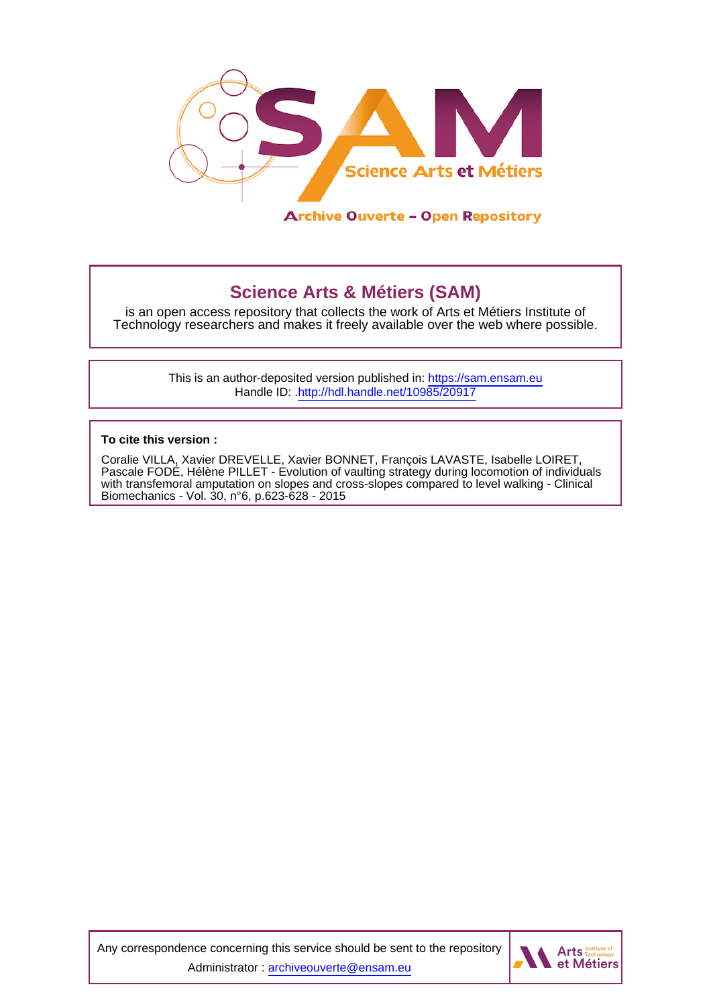

# **Science Arts & Métiers (SAM)**

is an open access repository that collects the work of Arts et Métiers Institute of Technology researchers and makes it freely available over the web where possible.

> This is an author-deposited version published in:<https://sam.ensam.eu> Handle ID: [.http://hdl.handle.net/10985/20917](http://hdl.handle.net/10985/20917)

**To cite this version :**

Coralie VILLA, Xavier DREVELLE, Xavier BONNET, François LAVASTE, Isabelle LOIRET, Pascale FODÉ, Hélène PILLET - Evolution of vaulting strategy during locomotion of individuals with transfemoral amputation on slopes and cross-slopes compared to level walking - Clinical Biomechanics - Vol. 30, n°6, p.623-628 - 2015

Any correspondence concerning this service should be sent to the repository Administrator : [archiveouverte@ensam.eu](mailto:archiveouverte@ensam.eu)

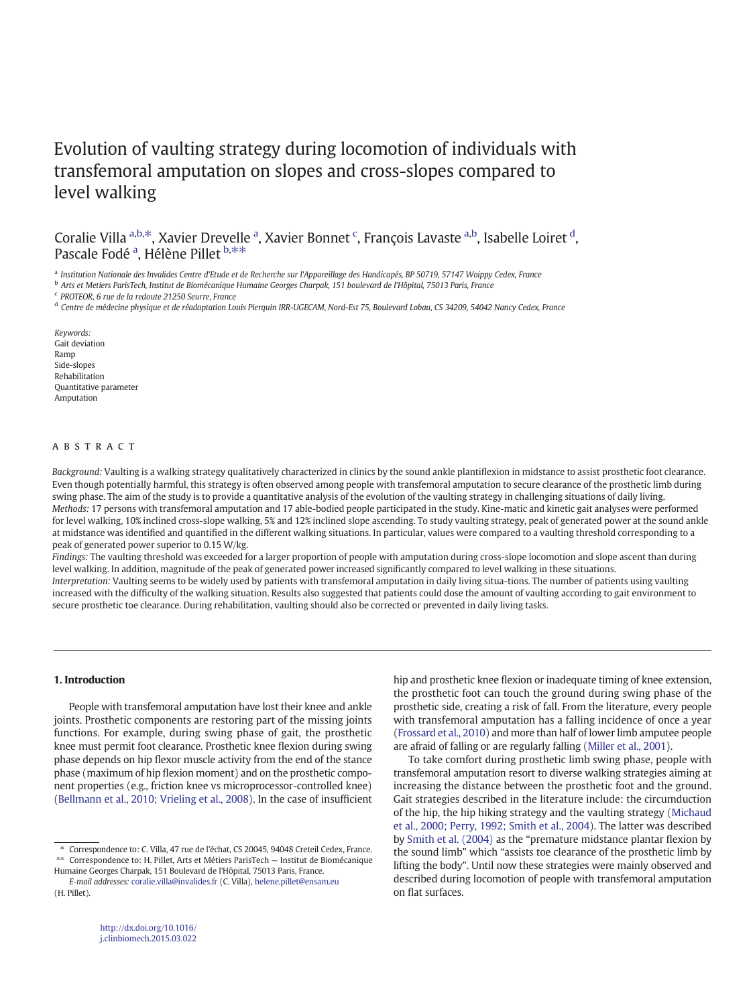## Evolution of vaulting strategy durin[g locomotion of individuals w](www.elsevier.com/locate/clinbiomech)ith transfemoral amputation on slopes and cross-slopes compared to level walking

Coralie Villa <sup>a,b,\*</sup>, Xavier Drevelle <sup>a</sup>, Xavier Bonnet <sup>c</sup>, François Lavaste <sup>a,b</sup>, Isabelle Loiret <sup>d</sup>, Pascale Fodé<sup>a</sup>, Hélène Pillet b,\*\*

<sup>a</sup> Institution Nationale des Invalides Centre d'Etude et de Recherche sur l'Appareillage des Handicapés, BP 50719, 57147 Woippy Cedex, France

<sup>b</sup> Arts et Metiers ParisTech, Institut de Biomécanique Humaine Georges Charpak, 151 boulevard de l'Hôpital, 75013 Paris, France

<sup>c</sup> PROTEOR, 6 rue de la redoute 21250 Seurre, France

<sup>d</sup> Centre de médecine physique et de réadaptation Louis Pierquin IRR-UGECAM, Nord-Est 75, Boulevard Lobau, CS 34209, 54042 Nancy Cedex, France

secure prosthetic toe clearance. During rehabilitation, vaulting should also be corrected or prevented in daily living tasks.

Keywords: Gait deviation Ramp Side-slopes Rehabilitation Quantitative parameter Amputation

## **ABSTRACT**

Background: Vaulting is a walking strategy qualitatively characterized in clinics by the sound ankle plantiflexion in midstance to assist prosthetic foot clearance. Even though potentially harmful, this strategy is often observed among people with transfemoral amputation to secure clearance of the prosthetic limb during swing phase. The aim of the study is to provide a quantitative analysis of the evolution of the vaulting strategy in challenging situations of daily living. Methods: 17 persons with transfemoral amputation and 17 able-bodied people participated in the study. Kine-matic and kinetic gait analyses were performed for level walking, 10% inclined cross-slope walking, 5% and 12% inclined slope ascending. To study vaulting strategy, peak of generated power at the sound ankle at midstance was identified and quantified in the different walking situations. In particular, values were compared to a vaulting threshold corresponding to a peak of generated power superior to 0.15 W/kg.

Findings: The vaulting threshold was exceeded for a larger proportion of people with amputation during cross-slope locomotion and slope ascent than during level walking. In addition, magnitude of the peak of generated power increased significantly compared to level walking in these situations. Interpretation: Vaulting seems to be widely used by patients with transfemoral amputation in daily living situa-tions. The number of patients using vaulting increased with the difficulty of the walking situation. Results also suggested that patients could dose the amount of vaulting according to gait environment to

#### 1. Introduction

People with transfemoral amputation have lost their knee and ankle joints. Prosthetic components are restoring part of the missing joints functions. For example, during swing phase of gait, the prosthetic knee must permit foot clearance. Prosthetic knee flexion during swing phase depends on hip flexor muscle activity from the end of the stance phase (maximum of hip flexion moment) and on the prosthetic component properties (e.g., friction knee vs microprocessor-controlled knee) [\(Bellmann et al., 2010; Vrieling et al., 2008](#page-6-0)). In the case of insufficient

⁎ Correspondence to: C. Villa, 47 rue de l'échat, CS 20045, 94048 Creteil Cedex, France. ⁎⁎ Correspondence to: H. Pillet, Arts et Métiers ParisTech — Institut de Biomécanique

Humaine Georges Charpak, 151 Boulevard de l'Hôpital, 75013 Paris, France.

hip and prosthetic knee flexion or inadequate timing of knee extension, the prosthetic foot can touch the ground during swing phase of the prosthetic side, creating a risk of fall. From the literature, every people with transfemoral amputation has a falling incidence of once a year [\(Frossard et al., 2010](#page-6-0)) and more than half of lower limb amputee people are afraid of falling or are regularly falling ([Miller et al., 2001\)](#page-6-0).

To take comfort during prosthetic limb swing phase, people with transfemoral amputation resort to diverse walking strategies aiming at increasing the distance between the prosthetic foot and the ground. Gait strategies described in the literature include: the circumduction of the hip, the hip hiking strategy and the vaulting strategy ([Michaud](#page-6-0) [et al., 2000; Perry, 1992; Smith et al., 2004](#page-6-0)). The latter was described by [Smith et al. \(2004\)](#page-6-0) as the "premature midstance plantar flexion by the sound limb" which "assists toe clearance of the prosthetic limb by lifting the body". Until now these strategies were mainly observed and described during locomotion of people with transfemoral amputation on flat surfaces.

E-mail addresses: [coralie.villa@invalides.fr](mailto:coralie.villa@invalides.fr) (C. Villa), [helene.pillet@ensam.eu](mailto:helene.pillet@ensam.eu) (H. Pillet).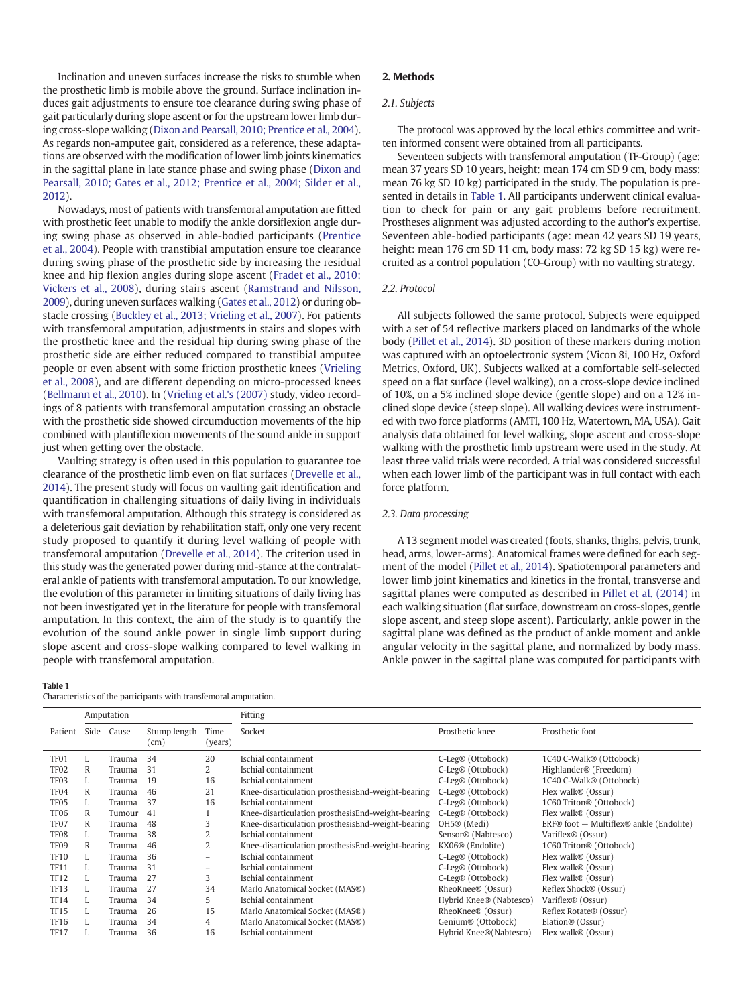<span id="page-2-0"></span>Inclination and uneven surfaces increase the risks to stumble when the prosthetic limb is mobile above the ground. Surface inclination induces gait adjustments to ensure toe clearance during swing phase of gait particularly during slope ascent or for the upstream lower limb during cross-slope walking [\(Dixon and Pearsall, 2010; Prentice et al., 2004\)](#page-6-0). As regards non-amputee gait, considered as a reference, these adaptations are observed with the modification of lower limb joints kinematics in the sagittal plane in late stance phase and swing phase [\(Dixon and](#page-6-0) [Pearsall, 2010; Gates et al., 2012; Prentice et al., 2004; Silder et al.,](#page-6-0) [2012\)](#page-6-0).

Nowadays, most of patients with transfemoral amputation are fitted with prosthetic feet unable to modify the ankle dorsiflexion angle during swing phase as observed in able-bodied participants ([Prentice](#page-6-0) [et al., 2004](#page-6-0)). People with transtibial amputation ensure toe clearance during swing phase of the prosthetic side by increasing the residual knee and hip flexion angles during slope ascent ([Fradet et al., 2010;](#page-6-0) [Vickers et al., 2008](#page-6-0)), during stairs ascent ([Ramstrand and Nilsson,](#page-6-0) [2009\)](#page-6-0), during uneven surfaces walking ([Gates et al., 2012\)](#page-6-0) or during obstacle crossing [\(Buckley et al., 2013; Vrieling et al., 2007\)](#page-6-0). For patients with transfemoral amputation, adjustments in stairs and slopes with the prosthetic knee and the residual hip during swing phase of the prosthetic side are either reduced compared to transtibial amputee people or even absent with some friction prosthetic knees ([Vrieling](#page-6-0) [et al., 2008](#page-6-0)), and are different depending on micro-processed knees [\(Bellmann et al., 2010\)](#page-6-0). In ([Vrieling et al.'s \(2007\)](#page-6-0) study, video recordings of 8 patients with transfemoral amputation crossing an obstacle with the prosthetic side showed circumduction movements of the hip combined with plantiflexion movements of the sound ankle in support just when getting over the obstacle.

Vaulting strategy is often used in this population to guarantee toe clearance of the prosthetic limb even on flat surfaces ([Drevelle et al.,](#page-6-0) [2014\)](#page-6-0). The present study will focus on vaulting gait identification and quantification in challenging situations of daily living in individuals with transfemoral amputation. Although this strategy is considered as a deleterious gait deviation by rehabilitation staff, only one very recent study proposed to quantify it during level walking of people with transfemoral amputation [\(Drevelle et al., 2014](#page-6-0)). The criterion used in this study was the generated power during mid-stance at the contralateral ankle of patients with transfemoral amputation. To our knowledge, the evolution of this parameter in limiting situations of daily living has not been investigated yet in the literature for people with transfemoral amputation. In this context, the aim of the study is to quantify the evolution of the sound ankle power in single limb support during slope ascent and cross-slope walking compared to level walking in people with transfemoral amputation.

#### Table 1

Characteristics of the participants with transfemoral amputation.

## 2. Methods

## 2.1. Subjects

The protocol was approved by the local ethics committee and written informed consent were obtained from all participants.

Seventeen subjects with transfemoral amputation (TF-Group) (age: mean 37 years SD 10 years, height: mean 174 cm SD 9 cm, body mass: mean 76 kg SD 10 kg) participated in the study. The population is presented in details in Table 1. All participants underwent clinical evaluation to check for pain or any gait problems before recruitment. Prostheses alignment was adjusted according to the author's expertise. Seventeen able-bodied participants (age: mean 42 years SD 19 years, height: mean 176 cm SD 11 cm, body mass: 72 kg SD 15 kg) were recruited as a control population (CO-Group) with no vaulting strategy.

#### 2.2. Protocol

All subjects followed the same protocol. Subjects were equipped with a set of 54 reflective markers placed on landmarks of the whole body ([Pillet et al., 2014\)](#page-6-0). 3D position of these markers during motion was captured with an optoelectronic system (Vicon 8i, 100 Hz, Oxford Metrics, Oxford, UK). Subjects walked at a comfortable self-selected speed on a flat surface (level walking), on a cross-slope device inclined of 10%, on a 5% inclined slope device (gentle slope) and on a 12% inclined slope device (steep slope). All walking devices were instrumented with two force platforms (AMTI, 100 Hz, Watertown, MA, USA). Gait analysis data obtained for level walking, slope ascent and cross-slope walking with the prosthetic limb upstream were used in the study. At least three valid trials were recorded. A trial was considered successful when each lower limb of the participant was in full contact with each force platform.

## 2.3. Data processing

A 13 segment model was created (foots, shanks, thighs, pelvis, trunk, head, arms, lower-arms). Anatomical frames were defined for each segment of the model ([Pillet et al., 2014\)](#page-6-0). Spatiotemporal parameters and lower limb joint kinematics and kinetics in the frontal, transverse and sagittal planes were computed as described in [Pillet et al. \(2014\)](#page-6-0) in each walking situation (flat surface, downstream on cross-slopes, gentle slope ascent, and steep slope ascent). Particularly, ankle power in the sagittal plane was defined as the product of ankle moment and ankle angular velocity in the sagittal plane, and normalized by body mass. Ankle power in the sagittal plane was computed for participants with

| Amputation       |      |        |                               |                 | Fitting                                           |                                |                                                |  |  |  |
|------------------|------|--------|-------------------------------|-----------------|---------------------------------------------------|--------------------------------|------------------------------------------------|--|--|--|
| Patient          | Side | Cause  | Stump length<br>$\text{(cm)}$ | Time<br>(years) | Socket                                            | Prosthetic knee                | Prosthetic foot                                |  |  |  |
| TF <sub>01</sub> |      | Trauma | 34                            | 20              | Ischial containment                               | C-Leg® (Ottobock)              | 1C40 C-Walk® (Ottobock)                        |  |  |  |
| TF <sub>02</sub> | R    | Trauma | 31                            | 2               | Ischial containment                               | C-Leg® (Ottobock)              | Highlander <sup>®</sup> (Freedom)              |  |  |  |
| TF <sub>03</sub> |      | Trauma | 19                            | 16              | Ischial containment                               | C-Leg® (Ottobock)              | 1C40 C-Walk® (Ottobock)                        |  |  |  |
| TF <sub>04</sub> | R    | Trauma | 46                            | 21              | Knee-disarticulation prosthesisEnd-weight-bearing | C-Leg® (Ottobock)              | Flex walk® (Ossur)                             |  |  |  |
| TF <sub>05</sub> |      | Trauma | 37                            | 16              | Ischial containment                               | C-Leg® (Ottobock)              | 1C60 Triton® (Ottobock)                        |  |  |  |
| TF <sub>06</sub> | R    | Tumour | 41                            |                 | Knee-disarticulation prosthesisEnd-weight-bearing | C-Leg® (Ottobock)              | Flex walk® (Ossur)                             |  |  |  |
| TF <sub>07</sub> | R    | Trauma | 48                            | 3               | Knee-disarticulation prosthesisEnd-weight-bearing | OH5® (Medi)                    | $ERF@$ foot $+$ Multiflex $@$ ankle (Endolite) |  |  |  |
| TF <sub>08</sub> |      | Trauma | 38                            |                 | Ischial containment                               | Sensor <sup>®</sup> (Nabtesco) | Variflex® (Ossur)                              |  |  |  |
| TF <sub>09</sub> | R    | Trauma | 46                            |                 | Knee-disarticulation prosthesisEnd-weight-bearing | KX06 <sup>®</sup> (Endolite)   | 1C60 Triton® (Ottobock)                        |  |  |  |
| <b>TF10</b>      |      | Trauma | 36                            | ۰               | Ischial containment                               | C-Leg® (Ottobock)              | Flex walk® (Ossur)                             |  |  |  |
| <b>TF11</b>      |      | Trauma | 31                            | ۰               | Ischial containment                               | C-Leg® (Ottobock)              | Flex walk® (Ossur)                             |  |  |  |
| <b>TF12</b>      |      | Trauma | 27                            | 3               | Ischial containment                               | C-Leg® (Ottobock)              | Flex walk® (Ossur)                             |  |  |  |
| <b>TF13</b>      |      | Trauma | 27                            | 34              | Marlo Anatomical Socket (MAS®)                    | RheoKnee® (Ossur)              | Reflex Shock® (Ossur)                          |  |  |  |
| <b>TF14</b>      |      | Trauma | 34                            | 5               | Ischial containment                               | Hybrid Knee® (Nabtesco)        | Variflex <sup>®</sup> (Ossur)                  |  |  |  |
| <b>TF15</b>      |      | Trauma | 26                            | 15              | Marlo Anatomical Socket (MAS®)                    | RheoKnee® (Ossur)              | Reflex Rotate® (Ossur)                         |  |  |  |
| <b>TF16</b>      |      | Trauma | 34                            | 4               | Marlo Anatomical Socket (MAS®)                    | Genium® (Ottobock)             | Elation® (Ossur)                               |  |  |  |
| <b>TF17</b>      |      | Trauma | 36                            | 16              | Ischial containment                               | Hybrid Knee®(Nabtesco)         | Flex walk® (Ossur)                             |  |  |  |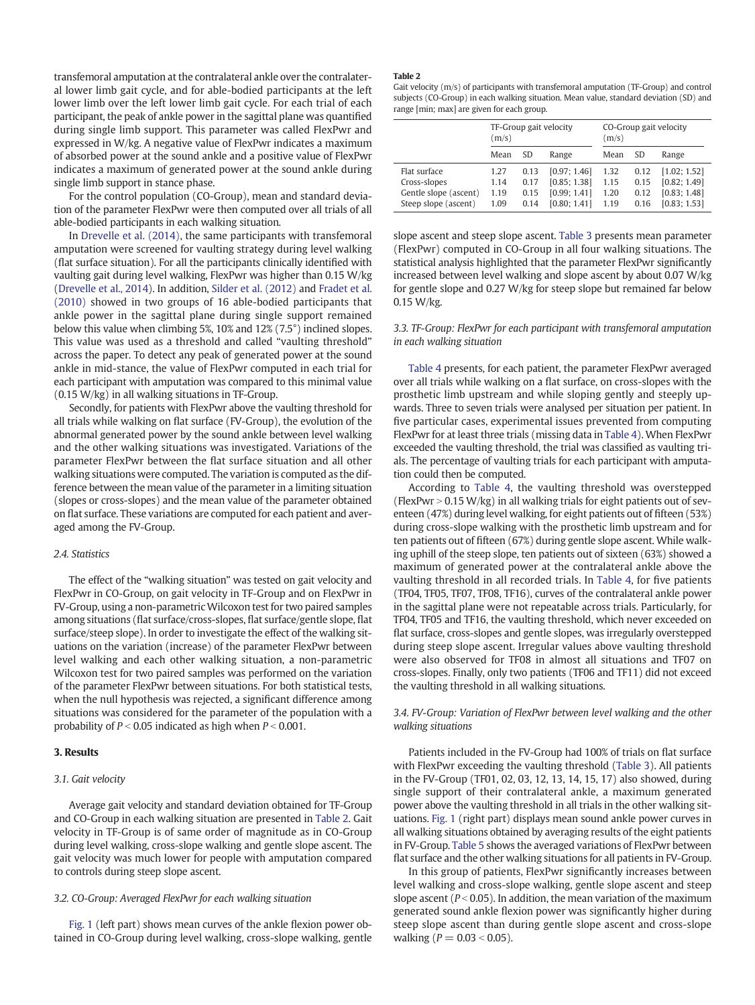transfemoral amputation at the contralateral ankle over the contralateral lower limb gait cycle, and for able-bodied participants at the left lower limb over the left lower limb gait cycle. For each trial of each participant, the peak of ankle power in the sagittal plane was quantified during single limb support. This parameter was called FlexPwr and expressed in W/kg. A negative value of FlexPwr indicates a maximum of absorbed power at the sound ankle and a positive value of FlexPwr indicates a maximum of generated power at the sound ankle during single limb support in stance phase.

For the control population (CO-Group), mean and standard deviation of the parameter FlexPwr were then computed over all trials of all able-bodied participants in each walking situation.

In [Drevelle et al. \(2014\)](#page-6-0), the same participants with transfemoral amputation were screened for vaulting strategy during level walking (flat surface situation). For all the participants clinically identified with vaulting gait during level walking, FlexPwr was higher than 0.15 W/kg [\(Drevelle et al., 2014\)](#page-6-0). In addition, [Silder et al. \(2012\)](#page-6-0) and [Fradet et al.](#page-6-0) [\(2010\)](#page-6-0) showed in two groups of 16 able-bodied participants that ankle power in the sagittal plane during single support remained below this value when climbing 5%, 10% and 12% (7.5°) inclined slopes. This value was used as a threshold and called "vaulting threshold" across the paper. To detect any peak of generated power at the sound ankle in mid-stance, the value of FlexPwr computed in each trial for each participant with amputation was compared to this minimal value (0.15 W/kg) in all walking situations in TF-Group.

Secondly, for patients with FlexPwr above the vaulting threshold for all trials while walking on flat surface (FV-Group), the evolution of the abnormal generated power by the sound ankle between level walking and the other walking situations was investigated. Variations of the parameter FlexPwr between the flat surface situation and all other walking situations were computed. The variation is computed as the difference between the mean value of the parameter in a limiting situation (slopes or cross-slopes) and the mean value of the parameter obtained on flat surface. These variations are computed for each patient and averaged among the FV-Group.

## 2.4. Statistics

The effect of the "walking situation" was tested on gait velocity and FlexPwr in CO-Group, on gait velocity in TF-Group and on FlexPwr in FV-Group, using a non-parametricWilcoxon test for two paired samples among situations (flat surface/cross-slopes, flat surface/gentle slope, flat surface/steep slope). In order to investigate the effect of the walking situations on the variation (increase) of the parameter FlexPwr between level walking and each other walking situation, a non-parametric Wilcoxon test for two paired samples was performed on the variation of the parameter FlexPwr between situations. For both statistical tests, when the null hypothesis was rejected, a significant difference among situations was considered for the parameter of the population with a probability of  $P < 0.05$  indicated as high when  $P < 0.001$ .

#### 3. Results

#### 3.1. Gait velocity

Average gait velocity and standard deviation obtained for TF-Group and CO-Group in each walking situation are presented in Table 2. Gait velocity in TF-Group is of same order of magnitude as in CO-Group during level walking, cross-slope walking and gentle slope ascent. The gait velocity was much lower for people with amputation compared to controls during steep slope ascent.

## 3.2. CO-Group: Averaged FlexPwr for each walking situation

[Fig. 1](#page-4-0) (left part) shows mean curves of the ankle flexion power obtained in CO-Group during level walking, cross-slope walking, gentle

## Table 2

Gait velocity (m/s) of participants with transfemoral amputation (TF-Group) and control subjects (CO-Group) in each walking situation. Mean value, standard deviation (SD) and range [min; max] are given for each group.

|                       | (m/s) |      | TF-Group gait velocity | CO-Group gait velocity<br>(m/s) |      |              |  |
|-----------------------|-------|------|------------------------|---------------------------------|------|--------------|--|
|                       | Mean  | SD.  | Range                  | Mean                            | SD   | Range        |  |
| Flat surface          | 1.27  | 0.13 | [0.97; 1.46]           | 1.32                            | 0.12 | [1.02; 1.52] |  |
| Cross-slopes          | 1.14  | 0.17 | [0.85; 1.38]           | 1.15                            | 0.15 | [0.82; 1.49] |  |
| Gentle slope (ascent) | 1.19  | 0.15 | [0.99; 1.41]           | 1.20                            | 0.12 | [0.83; 1.48] |  |
| Steep slope (ascent)  | 1.09  | 0.14 | [0.80; 1.41]           | 1.19                            | 0.16 | [0.83; 1.53] |  |

slope ascent and steep slope ascent. [Table 3](#page-4-0) presents mean parameter (FlexPwr) computed in CO-Group in all four walking situations. The statistical analysis highlighted that the parameter FlexPwr significantly increased between level walking and slope ascent by about 0.07 W/kg for gentle slope and 0.27 W/kg for steep slope but remained far below 0.15 W/kg.

3.3. TF-Group: FlexPwr for each participant with transfemoral amputation in each walking situation

[Table 4](#page-5-0) presents, for each patient, the parameter FlexPwr averaged over all trials while walking on a flat surface, on cross-slopes with the prosthetic limb upstream and while sloping gently and steeply upwards. Three to seven trials were analysed per situation per patient. In five particular cases, experimental issues prevented from computing FlexPwr for at least three trials (missing data in [Table 4\)](#page-5-0). When FlexPwr exceeded the vaulting threshold, the trial was classified as vaulting trials. The percentage of vaulting trials for each participant with amputation could then be computed.

According to [Table 4,](#page-5-0) the vaulting threshold was overstepped (FlexPwr  $> 0.15$  W/kg) in all walking trials for eight patients out of seventeen (47%) during level walking, for eight patients out of fifteen (53%) during cross-slope walking with the prosthetic limb upstream and for ten patients out of fifteen (67%) during gentle slope ascent. While walking uphill of the steep slope, ten patients out of sixteen (63%) showed a maximum of generated power at the contralateral ankle above the vaulting threshold in all recorded trials. In [Table 4](#page-5-0), for five patients (TF04, TF05, TF07, TF08, TF16), curves of the contralateral ankle power in the sagittal plane were not repeatable across trials. Particularly, for TF04, TF05 and TF16, the vaulting threshold, which never exceeded on flat surface, cross-slopes and gentle slopes, was irregularly overstepped during steep slope ascent. Irregular values above vaulting threshold were also observed for TF08 in almost all situations and TF07 on cross-slopes. Finally, only two patients (TF06 and TF11) did not exceed the vaulting threshold in all walking situations.

## 3.4. FV-Group: Variation of FlexPwr between level walking and the other walking situations

Patients included in the FV-Group had 100% of trials on flat surface with FlexPwr exceeding the vaulting threshold [\(Table 3\)](#page-4-0). All patients in the FV-Group (TF01, 02, 03, 12, 13, 14, 15, 17) also showed, during single support of their contralateral ankle, a maximum generated power above the vaulting threshold in all trials in the other walking situations. [Fig. 1](#page-4-0) (right part) displays mean sound ankle power curves in all walking situations obtained by averaging results of the eight patients in FV-Group. [Table 5](#page-5-0) shows the averaged variations of FlexPwr between flat surface and the other walking situations for all patients in FV-Group.

In this group of patients, FlexPwr significantly increases between level walking and cross-slope walking, gentle slope ascent and steep slope ascent ( $P < 0.05$ ). In addition, the mean variation of the maximum generated sound ankle flexion power was significantly higher during steep slope ascent than during gentle slope ascent and cross-slope walking ( $P = 0.03 < 0.05$ ).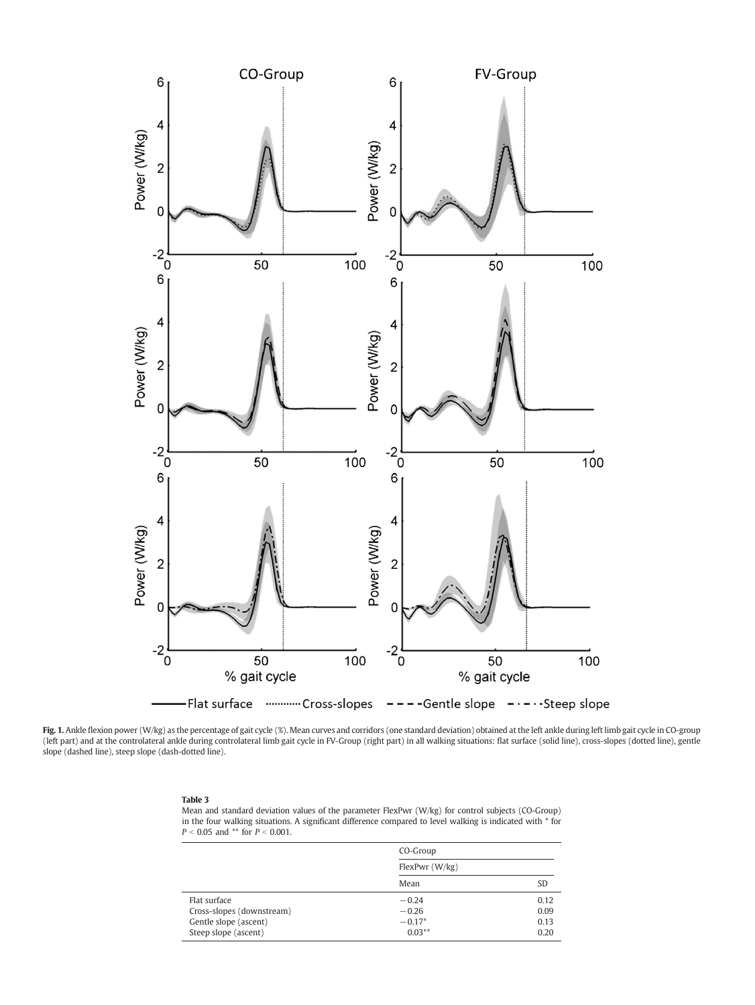<span id="page-4-0"></span>

Fig. 1. Ankle flexion power (W/kg) as the percentage of gait cycle (%). Mean curves and corridors (one standard deviation) obtained at the left ankle during left limb gait cycle in CO-group (left part) and at the controlateral ankle during controlateral limb gait cycle in FV-Group (right part) in all walking situations: flat surface (solid line), cross-slopes (dotted line), gentle slope (dashed line), steep slope (dash-dotted line).

#### Table 3

Mean and standard deviation values of the parameter FlexPwr (W/kg) for control subjects (CO-Group) in the four walking situations. A significant difference compared to level walking is indicated with \* for  $P < 0.05$  and \*\* for  $P < 0.001$ .

|                                                                                            | CO-Group<br>FlexPwr (W/kg)                  |                              |  |
|--------------------------------------------------------------------------------------------|---------------------------------------------|------------------------------|--|
|                                                                                            |                                             |                              |  |
|                                                                                            | Mean                                        | SD                           |  |
| Flat surface<br>Cross-slopes (downstream)<br>Gentle slope (ascent)<br>Steep slope (ascent) | $-0.24$<br>$-0.26$<br>$-0.17*$<br>$0.03***$ | 0.12<br>0.09<br>0.13<br>0.20 |  |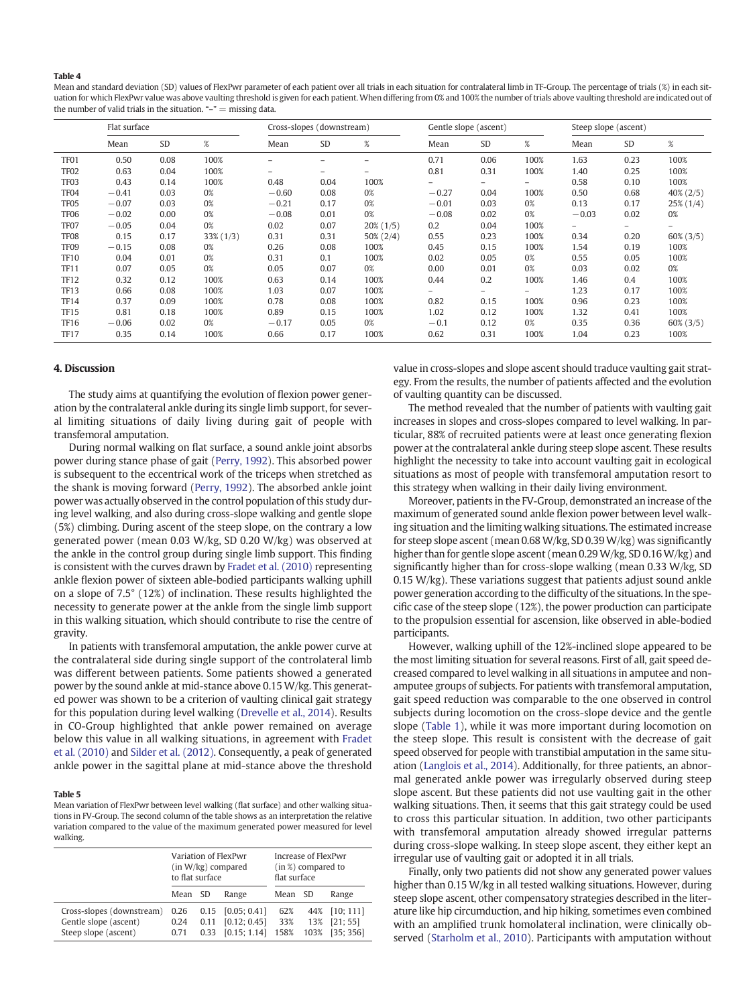#### <span id="page-5-0"></span>Table 4

Mean and standard deviation (SD) values of FlexPwr parameter of each patient over all trials in each situation for contralateral limb in TF-Group. The percentage of trials (%) in each situation for which FlexPwr value was above vaulting threshold is given for each patient. When differing from 0% and 100% the number of trials above vaulting threshold are indicated out of the number of valid trials in the situation. " $-$ "  $=$  missing data.

|                  | Flat surface |           |              | Cross-slopes (downstream) |                   |              | Gentle slope (ascent) |                          |      | Steep slope (ascent) |           |              |
|------------------|--------------|-----------|--------------|---------------------------|-------------------|--------------|-----------------------|--------------------------|------|----------------------|-----------|--------------|
|                  | Mean         | <b>SD</b> | $\%$         | Mean                      | <b>SD</b>         | %            | Mean                  | <b>SD</b>                | %    | Mean                 | <b>SD</b> | $\%$         |
| TF <sub>01</sub> | 0.50         | 0.08      | 100%         |                           |                   |              | 0.71                  | 0.06                     | 100% | 1.63                 | 0.23      | 100%         |
| TF <sub>02</sub> | 0.63         | 0.04      | 100%         | $\overline{\phantom{0}}$  | $\qquad \qquad -$ | ۰            | 0.81                  | 0.31                     | 100% | 1.40                 | 0.25      | 100%         |
| TF <sub>03</sub> | 0.43         | 0.14      | 100%         | 0.48                      | 0.04              | 100%         |                       | $\overline{\phantom{0}}$ | Ξ.   | 0.58                 | 0.10      | 100%         |
| TF <sub>04</sub> | $-0.41$      | 0.03      | 0%           | $-0.60$                   | 0.08              | 0%           | $-0.27$               | 0.04                     | 100% | 0.50                 | 0.68      | $40\%$ (2/5) |
| TF <sub>05</sub> | $-0.07$      | 0.03      | 0%           | $-0.21$                   | 0.17              | 0%           | $-0.01$               | 0.03                     | 0%   | 0.13                 | 0.17      | $25\%$ (1/4) |
| TF <sub>06</sub> | $-0.02$      | 0.00      | 0%           | $-0.08$                   | 0.01              | 0%           | $-0.08$               | 0.02                     | 0%   | $-0.03$              | 0.02      | 0%           |
| TF <sub>07</sub> | $-0.05$      | 0.04      | 0%           | 0.02                      | 0.07              | $20\%$ (1/5) | 0.2                   | 0.04                     | 100% |                      |           |              |
| TF <sub>08</sub> | 0.15         | 0.17      | $33\%$ (1/3) | 0.31                      | 0.31              | $50\% (2/4)$ | 0.55                  | 0.23                     | 100% | 0.34                 | 0.20      | $60\%$ (3/5) |
| TF <sub>09</sub> | $-0.15$      | 0.08      | 0%           | 0.26                      | 0.08              | 100%         | 0.45                  | 0.15                     | 100% | 1.54                 | 0.19      | 100%         |
| <b>TF10</b>      | 0.04         | 0.01      | 0%           | 0.31                      | 0.1               | 100%         | 0.02                  | 0.05                     | 0%   | 0.55                 | 0.05      | 100%         |
| <b>TF11</b>      | 0.07         | 0.05      | 0%           | 0.05                      | 0.07              | 0%           | 0.00                  | 0.01                     | 0%   | 0.03                 | 0.02      | 0%           |
| <b>TF12</b>      | 0.32         | 0.12      | 100%         | 0.63                      | 0.14              | 100%         | 0.44                  | 0.2                      | 100% | 1.46                 | 0.4       | 100%         |
| <b>TF13</b>      | 0.66         | 0.08      | 100%         | 1.03                      | 0.07              | 100%         | -                     | Ξ.                       | Ξ.   | 1.23                 | 0.17      | 100%         |
| <b>TF14</b>      | 0.37         | 0.09      | 100%         | 0.78                      | 0.08              | 100%         | 0.82                  | 0.15                     | 100% | 0.96                 | 0.23      | 100%         |
| <b>TF15</b>      | 0.81         | 0.18      | 100%         | 0.89                      | 0.15              | 100%         | 1.02                  | 0.12                     | 100% | 1.32                 | 0.41      | 100%         |
| <b>TF16</b>      | $-0.06$      | 0.02      | 0%           | $-0.17$                   | 0.05              | 0%           | $-0.1$                | 0.12                     | 0%   | 0.35                 | 0.36      | $60\%$ (3/5) |
| <b>TF17</b>      | 0.35         | 0.14      | 100%         | 0.66                      | 0.17              | 100%         | 0.62                  | 0.31                     | 100% | 1.04                 | 0.23      | 100%         |

#### 4. Discussion

The study aims at quantifying the evolution of flexion power generation by the contralateral ankle during its single limb support, for several limiting situations of daily living during gait of people with transfemoral amputation.

During normal walking on flat surface, a sound ankle joint absorbs power during stance phase of gait [\(Perry, 1992](#page-6-0)). This absorbed power is subsequent to the eccentrical work of the triceps when stretched as the shank is moving forward ([Perry, 1992\)](#page-6-0). The absorbed ankle joint power was actually observed in the control population of this study during level walking, and also during cross-slope walking and gentle slope (5%) climbing. During ascent of the steep slope, on the contrary a low generated power (mean 0.03 W/kg, SD 0.20 W/kg) was observed at the ankle in the control group during single limb support. This finding is consistent with the curves drawn by [Fradet et al. \(2010\)](#page-6-0) representing ankle flexion power of sixteen able-bodied participants walking uphill on a slope of 7.5° (12%) of inclination. These results highlighted the necessity to generate power at the ankle from the single limb support in this walking situation, which should contribute to rise the centre of gravity.

In patients with transfemoral amputation, the ankle power curve at the contralateral side during single support of the controlateral limb was different between patients. Some patients showed a generated power by the sound ankle at mid-stance above 0.15 W/kg. This generated power was shown to be a criterion of vaulting clinical gait strategy for this population during level walking [\(Drevelle et al., 2014\)](#page-6-0). Results in CO-Group highlighted that ankle power remained on average below this value in all walking situations, in agreement with [Fradet](#page-6-0) [et al. \(2010\)](#page-6-0) and [Silder et al. \(2012\).](#page-6-0) Consequently, a peak of generated ankle power in the sagittal plane at mid-stance above the threshold

#### Table 5

Mean variation of FlexPwr between level walking (flat surface) and other walking situations in FV-Group. The second column of the table shows as an interpretation the relative variation compared to the value of the maximum generated power measured for level walking.

|                                                                            | to flat surface      |              | Variation of FlexPwr<br>$(in W/kg)$ compared        | Increase of FlexPwr<br>(in %) compared to<br>flat surface |                    |                                    |  |
|----------------------------------------------------------------------------|----------------------|--------------|-----------------------------------------------------|-----------------------------------------------------------|--------------------|------------------------------------|--|
|                                                                            | Mean SD              |              | Range                                               | Mean                                                      | -SD                | Range                              |  |
| Cross-slopes (downstream)<br>Gentle slope (ascent)<br>Steep slope (ascent) | 0.26<br>0.24<br>0.71 | 0.11<br>0.33 | $0.15$ [0.05; 0.41]<br>[0.12; 0.45]<br>[0.15; 1.14] | 62%<br>33%<br>158%                                        | 44%<br>13%<br>103% | [10; 111]<br>[21; 55]<br>[35; 356] |  |

value in cross-slopes and slope ascent should traduce vaulting gait strategy. From the results, the number of patients affected and the evolution of vaulting quantity can be discussed.

The method revealed that the number of patients with vaulting gait increases in slopes and cross-slopes compared to level walking. In particular, 88% of recruited patients were at least once generating flexion power at the contralateral ankle during steep slope ascent. These results highlight the necessity to take into account vaulting gait in ecological situations as most of people with transfemoral amputation resort to this strategy when walking in their daily living environment.

Moreover, patients in the FV-Group, demonstrated an increase of the maximum of generated sound ankle flexion power between level walking situation and the limiting walking situations. The estimated increase for steep slope ascent (mean 0.68 W/kg, SD 0.39W/kg) was significantly higher than for gentle slope ascent (mean 0.29 W/kg, SD 0.16W/kg) and significantly higher than for cross-slope walking (mean 0.33 W/kg, SD 0.15 W/kg). These variations suggest that patients adjust sound ankle power generation according to the difficulty of the situations. In the specific case of the steep slope (12%), the power production can participate to the propulsion essential for ascension, like observed in able-bodied participants.

However, walking uphill of the 12%-inclined slope appeared to be the most limiting situation for several reasons. First of all, gait speed decreased compared to level walking in all situations in amputee and nonamputee groups of subjects. For patients with transfemoral amputation, gait speed reduction was comparable to the one observed in control subjects during locomotion on the cross-slope device and the gentle slope [\(Table 1\)](#page-2-0), while it was more important during locomotion on the steep slope. This result is consistent with the decrease of gait speed observed for people with transtibial amputation in the same situation [\(Langlois et al., 2014](#page-6-0)). Additionally, for three patients, an abnormal generated ankle power was irregularly observed during steep slope ascent. But these patients did not use vaulting gait in the other walking situations. Then, it seems that this gait strategy could be used to cross this particular situation. In addition, two other participants with transfemoral amputation already showed irregular patterns during cross-slope walking. In steep slope ascent, they either kept an irregular use of vaulting gait or adopted it in all trials.

Finally, only two patients did not show any generated power values higher than 0.15 W/kg in all tested walking situations. However, during steep slope ascent, other compensatory strategies described in the literature like hip circumduction, and hip hiking, sometimes even combined with an amplified trunk homolateral inclination, were clinically observed [\(Starholm et al., 2010\)](#page-6-0). Participants with amputation without